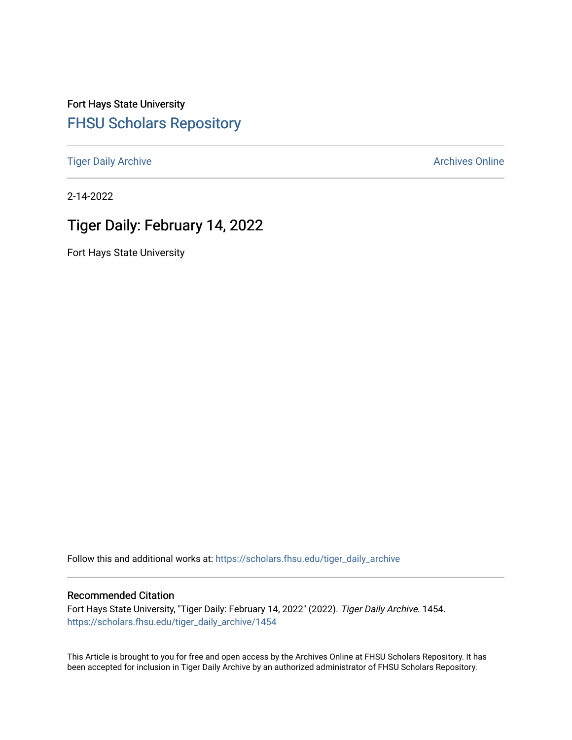Fort Hays State University [FHSU Scholars Repository](https://scholars.fhsu.edu/) 

[Tiger Daily Archive](https://scholars.fhsu.edu/tiger_daily_archive) **Archives** Online Archives Online

2-14-2022

# Tiger Daily: February 14, 2022

Fort Hays State University

Follow this and additional works at: [https://scholars.fhsu.edu/tiger\\_daily\\_archive](https://scholars.fhsu.edu/tiger_daily_archive?utm_source=scholars.fhsu.edu%2Ftiger_daily_archive%2F1454&utm_medium=PDF&utm_campaign=PDFCoverPages)

### Recommended Citation

Fort Hays State University, "Tiger Daily: February 14, 2022" (2022). Tiger Daily Archive. 1454. [https://scholars.fhsu.edu/tiger\\_daily\\_archive/1454](https://scholars.fhsu.edu/tiger_daily_archive/1454?utm_source=scholars.fhsu.edu%2Ftiger_daily_archive%2F1454&utm_medium=PDF&utm_campaign=PDFCoverPages)

This Article is brought to you for free and open access by the Archives Online at FHSU Scholars Repository. It has been accepted for inclusion in Tiger Daily Archive by an authorized administrator of FHSU Scholars Repository.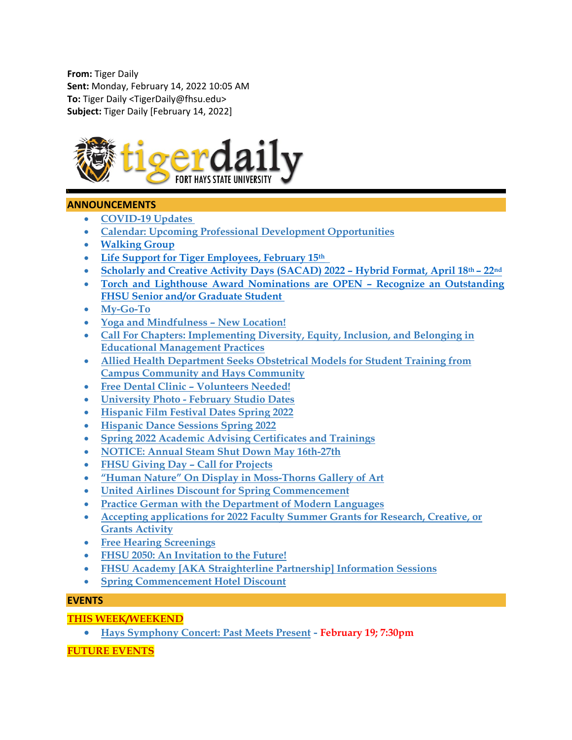**From:** Tiger Daily **Sent:** Monday, February 14, 2022 10:05 AM **To:** Tiger Daily <TigerDaily@fhsu.edu> **Subject:** Tiger Daily [February 14, 2022]



# **ANNOUNCEMENTS**

- **[COVID-19 Updates](#page-2-0)**
- **[Calendar: Upcoming Professional Development Opportunities](#page-2-1)**
- **[Walking Group](#page-3-0)**
- **Life Support for Tiger [Employees, February 15th](#page-3-1)**
- **[Scholarly and Creative Activity Days \(SACAD\) 2022 –](#page-3-2) Hybrid Format, April 18th – 22nd**
- **[Torch and Lighthouse Award Nominations are OPEN –](#page-3-3) Recognize an Outstanding [FHSU Senior and/or Graduate Student](#page-3-3)**
- **[My-Go-To](#page-4-0)**
- **[Yoga and Mindfulness –](#page-4-1) New Location!**
- **[Call For Chapters: Implementing Diversity, Equity, Inclusion, and Belonging in](#page-4-2)  [Educational Management Practices](#page-4-2)**
- **[Allied Health Department Seeks Obstetrical Models for Student Training from](#page-4-3)  [Campus Community and Hays Community](#page-4-3)**
- **Free Dental Clinic – [Volunteers Needed!](#page-4-4)**
- **University Photo - [February Studio Dates](#page-5-0)**
- **[Hispanic Film Festival Dates Spring 2022](#page-5-1)**
- **[Hispanic Dance Sessions Spring 2022](#page-6-0)**
- **[Spring 2022 Academic Advising Certificates and Trainings](#page-6-1)**
- **[NOTICE: Annual Steam Shut Down May 16th-27th](#page-8-0)**
- **[FHSU Giving Day –](#page-9-0) Call for Projects**
- **["Human Nature" On Display in Moss-Thorns Gallery of Art](#page-9-1)**
- **[United Airlines Discount for Spring Commencement](#page-9-2)**
- **[Practice German with the Department of Modern Languages](#page-9-3)**
- **[Accepting applications for 2022 Faculty Summer Grants for Research, Creative, or](#page-10-0)  [Grants Activity](#page-10-0)**
- **[Free Hearing Screenings](#page-10-1)**
- **[FHSU 2050: An Invitation to the Future!](#page-10-2)**
- **[FHSU Academy \[AKA Straighterline Partnership\] Information Sessions](#page-11-0)**
- **[Spring Commencement Hotel Discount](#page-11-1)**

# **EVENTS**

# **THIS WEEK/WEEKEND**

• **[Hays Symphony Concert: Past Meets Present](#page-11-2) - February 19; 7:30pm**

# **FUTURE EVENTS**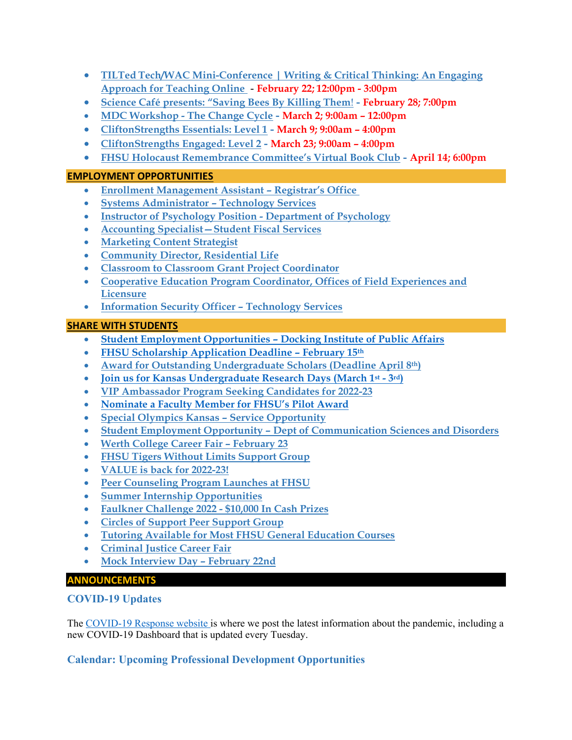- **TILTed [Tech/WAC Mini-Conference | Writing & Critical Thinking: An Engaging](#page-12-0)  [Approach for Teaching Online](#page-12-0)** - **February 22; 12:00pm - 3:00pm**
- **[Science Café presents: "Saving Bees By Killing Them](#page-12-1)**! **- February 28; 7:00pm**
- **MDC Workshop - [The Change Cycle](#page-13-0) - March 2; 9:00am – 12:00pm**
- **[CliftonStrengths Essentials: Level 1](#page-13-1) - March 9; 9:00am – 4:00pm**
- **[CliftonStrengths Engaged: Level 2](#page-13-2) - March 23; 9:00am – 4:00pm**
- **[FHSU Holocaust Remembrance Committee's Virtual Book Club](#page-14-0) - April 14; 6:00pm**

# **EMPLOYMENT OPPORTUNITIES**

- **[Enrollment Management Assistant –](#page-14-1) Registrar's Office**
- **[Systems Administrator –](#page-14-2) Technology Services**
- **[Instructor of Psychology Position -](#page-15-0) Department of Psychology**
- **[Accounting Specialist—Student Fiscal Services](#page-15-1)**
- **[Marketing Content Strategist](#page-16-0)**
- **[Community Director, Residential Life](#page-16-1)**
- **[Classroom to Classroom Grant](#page-17-0) Project Coordinator**
- **[Cooperative Education Program Coordinator, Offices of Field Experiences and](#page-17-1)  [Licensure](#page-17-1)**
- **[Information Security Officer –](#page-17-2) Technology Services**

# **SHARE WITH STUDENTS**

- **[Student Employment Opportunities –](#page-18-0) Docking Institute of Public Affairs**
- **[FHSU Scholarship Application Deadline –](#page-18-1) February 15th**
- **[Award for Outstanding Undergraduate Scholars \(Deadline April 8th\)](#page-19-0)**
- **Join us for Kansas Undergraduate Research Days (March 1st - 3rd)**
- **[VIP Ambassador Program Seeking Candidates for 2022-23](#page-19-1)**
- **[Nominate a Faculty Member for FHSU's Pilot Award](#page-20-0)**
- **[Special Olympics Kansas –](#page-20-1) Service Opportunity**
- **Student Employment Opportunity – [Dept of Communication Sciences and Disorders](#page-20-2)**
- **[Werth College Career Fair –](#page-21-0) February 23**
- **[FHSU Tigers Without Limits Support Group](#page-21-1)**
- **[VALUE is back for 2022-23!](#page-21-2)**
- **[Peer Counseling Program Launches at FHSU](#page-22-0)**
- **[Summer Internship Opportunities](#page-22-1)**
- **[Faulkner Challenge 2022 -](#page-22-2) \$10,000 In Cash Prizes**
- **Circles [of Support Peer Support Group](#page-23-0)**
- **[Tutoring Available for Most FHSU General Education Courses](#page-24-0)**
- **[Criminal Justice Career Fair](#page-24-1)**
- <span id="page-2-0"></span>• **Mock [Interview Day –](#page-24-2) February 22nd**

# **ANNOUNCEMENTS**

# **COVID-19 Updates**

The [COVID-19 Response website](https://www.fhsu.edu/covid-19-response/index) is where we post the latest information about the pandemic, including a new COVID-19 Dashboard that is updated every Tuesday.

# <span id="page-2-1"></span>**Calendar: Upcoming Professional Development Opportunities**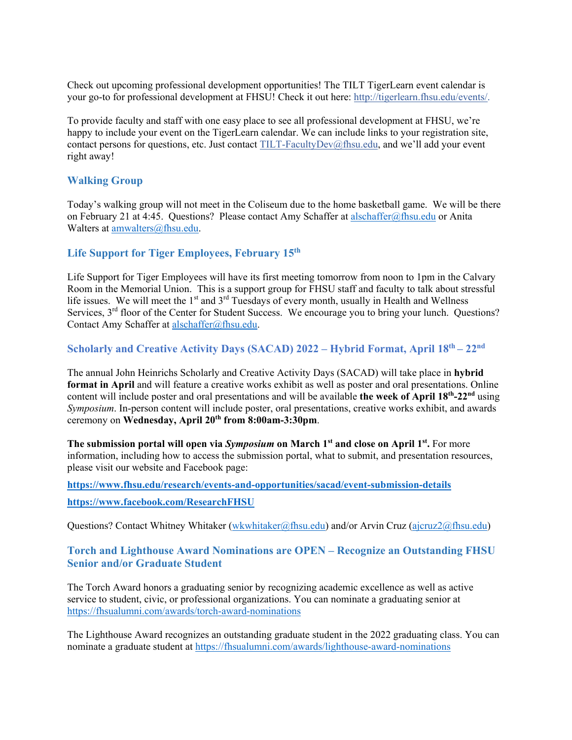Check out upcoming professional development opportunities! The TILT TigerLearn event calendar is your go-to for professional development at FHSU! Check it out here: [http://tigerlearn.fhsu.edu/events/.](http://tigerlearn.fhsu.edu/events/)

To provide faculty and staff with one easy place to see all professional development at FHSU, we're happy to include your event on the TigerLearn calendar. We can include links to your registration site, contact persons for questions, etc. Just contact [TILT-FacultyDev@fhsu.edu,](mailto:TILT-FacultyDev@fhsu.edu) and we'll add your event right away!

# <span id="page-3-0"></span>**Walking Group**

Today's walking group will not meet in the Coliseum due to the home basketball game. We will be there on February 21 at 4:45. Questions? Please contact Amy Schaffer at [alschaffer@fhsu.edu](mailto:alschaffer@fhsu.edu) or Anita Walters at [amwalters@fhsu.edu.](mailto:amwalters@fhsu.edu)

# <span id="page-3-1"></span>**Life Support for Tiger Employees, February 15th**

Life Support for Tiger Employees will have its first meeting tomorrow from noon to 1pm in the Calvary Room in the Memorial Union. This is a support group for FHSU staff and faculty to talk about stressful life issues. We will meet the 1<sup>st</sup> and 3<sup>rd</sup> Tuesdays of every month, usually in Health and Wellness Services, 3<sup>rd</sup> floor of the Center for Student Success. We encourage you to bring your lunch. Questions? Contact Amy Schaffer at [alschaffer@fhsu.edu.](mailto:alschaffer@fhsu.edu)

### <span id="page-3-2"></span>**Scholarly and Creative Activity Days (SACAD) 2022 – Hybrid Format, April 18th – 22nd**

The annual John Heinrichs Scholarly and Creative Activity Days (SACAD) will take place in **hybrid format in April** and will feature a creative works exhibit as well as poster and oral presentations. Online content will include poster and oral presentations and will be available **the week of April 18th-22nd** using *Symposium*. In-person content will include poster, oral presentations, creative works exhibit, and awards ceremony on **Wednesday, April 20th from 8:00am-3:30pm**.

**The submission portal will open via** *Symposium* **on March 1<sup>st</sup> and close on April 1<sup>st</sup>. For more** information, including how to access the submission portal, what to submit, and presentation resources, please visit our website and Facebook page:

**<https://www.fhsu.edu/research/events-and-opportunities/sacad/event-submission-details> <https://www.facebook.com/ResearchFHSU>**

Questions? Contact Whitney Whitaker [\(wkwhitaker@fhsu.edu\)](mailto:wkwhitaker@fhsu.edu) and/or Arvin Cruz [\(ajcruz2@fhsu.edu\)](mailto:ajcruz2@fhsu.edu)

# <span id="page-3-3"></span>**Torch and Lighthouse Award Nominations are OPEN – Recognize an Outstanding FHSU Senior and/or Graduate Student**

The Torch Award honors a graduating senior by recognizing academic excellence as well as active service to student, civic, or professional organizations. You can nominate a graduating senior at <https://fhsualumni.com/awards/torch-award-nominations>

The Lighthouse Award recognizes an outstanding graduate student in the 2022 graduating class. You can nominate a graduate student at<https://fhsualumni.com/awards/lighthouse-award-nominations>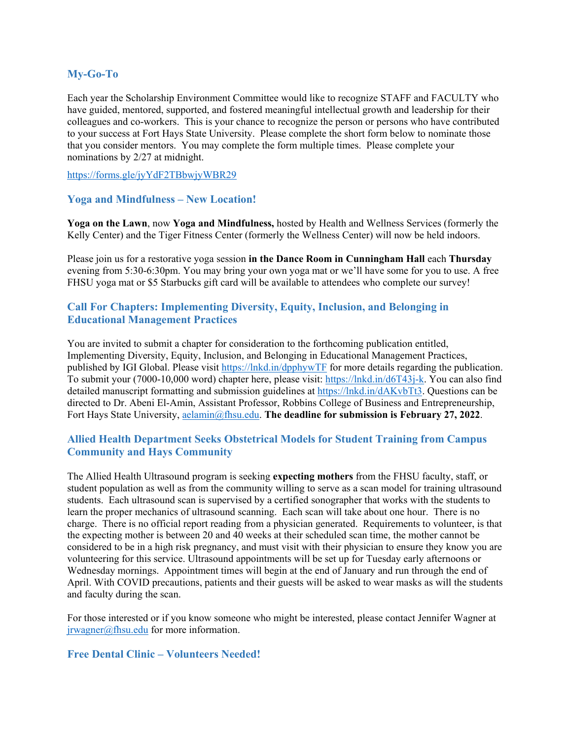# <span id="page-4-0"></span>**My-Go-To**

Each year the Scholarship Environment Committee would like to recognize STAFF and FACULTY who have guided, mentored, supported, and fostered meaningful intellectual growth and leadership for their colleagues and co-workers. This is your chance to recognize the person or persons who have contributed to your success at Fort Hays State University. Please complete the short form below to nominate those that you consider mentors. You may complete the form multiple times. Please complete your nominations by 2/27 at midnight.

<https://forms.gle/jyYdF2TBbwjyWBR29>

### <span id="page-4-1"></span>**Yoga and Mindfulness – New Location!**

**Yoga on the Lawn**, now **Yoga and Mindfulness,** hosted by Health and Wellness Services (formerly the Kelly Center) and the Tiger Fitness Center (formerly the Wellness Center) will now be held indoors.

Please join us for a restorative yoga session **in the Dance Room in Cunningham Hall** each **Thursday** evening from 5:30-6:30pm. You may bring your own yoga mat or we'll have some for you to use. A free FHSU yoga mat or \$5 Starbucks gift card will be available to attendees who complete our survey!

# <span id="page-4-2"></span>**Call For Chapters: Implementing Diversity, Equity, Inclusion, and Belonging in Educational Management Practices**

You are invited to submit a chapter for consideration to the forthcoming publication entitled, Implementing Diversity, Equity, Inclusion, and Belonging in Educational Management Practices, published by IGI Global. Please visit<https://lnkd.in/dpphywTF> for more details regarding the publication. To submit your (7000-10,000 word) chapter here, please visit: [https://lnkd.in/d6T43j-k.](https://lnkd.in/d6T43j-k) You can also find detailed manuscript formatting and submission guidelines at [https://lnkd.in/dAKvbTt3.](https://lnkd.in/dAKvbTt3) Questions can be directed to Dr. Abeni El-Amin, Assistant Professor, Robbins College of Business and Entrepreneurship, Fort Hays State University, [aelamin@fhsu.edu.](mailto:aelamin@fhsu.edu) **The deadline for submission is February 27, 2022**.

# <span id="page-4-3"></span>**Allied Health Department Seeks Obstetrical Models for Student Training from Campus Community and Hays Community**

The Allied Health Ultrasound program is seeking **expecting mothers** from the FHSU faculty, staff, or student population as well as from the community willing to serve as a scan model for training ultrasound students. Each ultrasound scan is supervised by a certified sonographer that works with the students to learn the proper mechanics of ultrasound scanning. Each scan will take about one hour. There is no charge. There is no official report reading from a physician generated. Requirements to volunteer, is that the expecting mother is between 20 and 40 weeks at their scheduled scan time, the mother cannot be considered to be in a high risk pregnancy, and must visit with their physician to ensure they know you are volunteering for this service. Ultrasound appointments will be set up for Tuesday early afternoons or Wednesday mornings. Appointment times will begin at the end of January and run through the end of April. With COVID precautions, patients and their guests will be asked to wear masks as will the students and faculty during the scan.

For those interested or if you know someone who might be interested, please contact Jennifer Wagner at [jrwagner@fhsu.edu](mailto:jrwagner@fhsu.edu) for more information.

### <span id="page-4-4"></span>**Free Dental Clinic – Volunteers Needed!**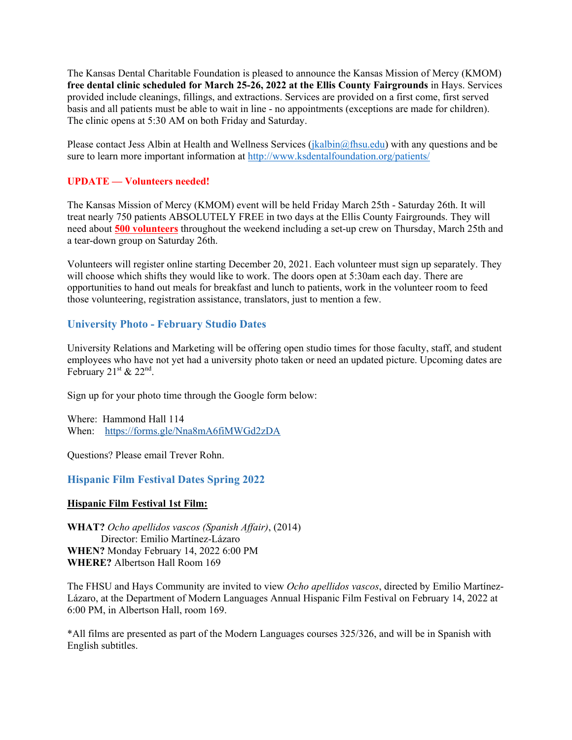The Kansas Dental Charitable Foundation is pleased to announce the Kansas Mission of Mercy (KMOM) **free dental clinic scheduled for March 25-26, 2022 at the Ellis County Fairgrounds** in Hays. Services provided include cleanings, fillings, and extractions. Services are provided on a first come, first served basis and all patients must be able to wait in line - no appointments (exceptions are made for children). The clinic opens at 5:30 AM on both Friday and Saturday.

Please contact Jess Albin at Health and Wellness Services [\(jkalbin@fhsu.edu\)](mailto:jkalbin@fhsu.edu) with any questions and be sure to learn more important information at<http://www.ksdentalfoundation.org/patients/>

### **UPDATE — Volunteers needed!**

The Kansas Mission of Mercy (KMOM) event will be held Friday March 25th - Saturday 26th. It will treat nearly 750 patients ABSOLUTELY FREE in two days at the Ellis County Fairgrounds. They will need about **500 volunteers** throughout the weekend including a set-up crew on Thursday, March 25th and a tear-down group on Saturday 26th.

Volunteers will register online starting December 20, 2021. Each volunteer must sign up separately. They will choose which shifts they would like to work. The doors open at 5:30am each day. There are opportunities to hand out meals for breakfast and lunch to patients, work in the volunteer room to feed those volunteering, registration assistance, translators, just to mention a few.

#### <span id="page-5-0"></span>**University Photo - February Studio Dates**

University Relations and Marketing will be offering open studio times for those faculty, staff, and student employees who have not yet had a university photo taken or need an updated picture. Upcoming dates are February  $21<sup>st</sup>$  &  $22<sup>nd</sup>$ .

Sign up for your photo time through the Google form below:

Where: Hammond Hall 114 When: <https://forms.gle/Nna8mA6fiMWGd2zDA>

Questions? Please email Trever Rohn.

#### <span id="page-5-1"></span>**Hispanic Film Festival Dates Spring 2022**

#### **Hispanic Film Festival 1st Film:**

**WHAT?** *Ocho apellidos vascos (Spanish Affair)*, (2014) Director: Emilio Martínez-Lázaro **WHEN?** Monday February 14, 2022 6:00 PM **WHERE?** Albertson Hall Room 169

The FHSU and Hays Community are invited to view *Ocho apellidos vascos*, directed by Emilio Martínez-Lázaro, at the Department of Modern Languages Annual Hispanic Film Festival on February 14, 2022 at 6:00 PM, in Albertson Hall, room 169.

\*All films are presented as part of the Modern Languages courses 325/326, and will be in Spanish with English subtitles.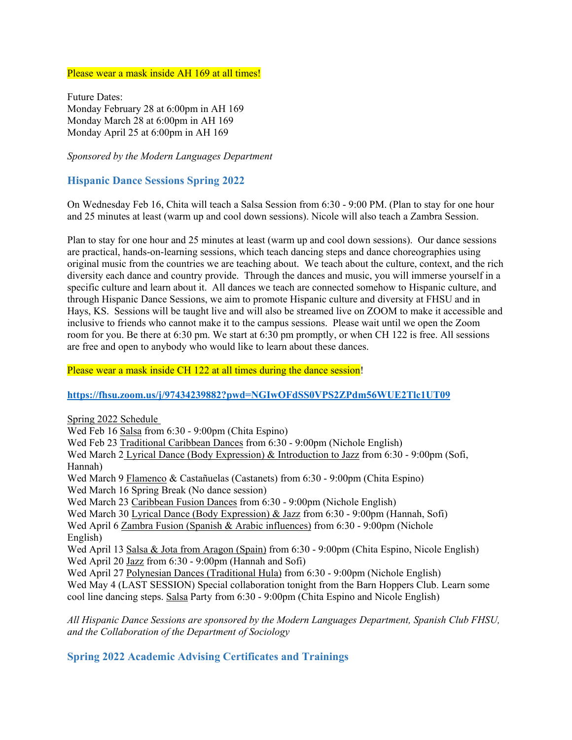Please wear a mask inside AH 169 at all times!

Future Dates: Monday February 28 at 6:00pm in AH 169 Monday March 28 at 6:00pm in AH 169 Monday April 25 at 6:00pm in AH 169

*Sponsored by the Modern Languages Department* 

### <span id="page-6-0"></span>**Hispanic Dance Sessions Spring 2022**

On Wednesday Feb 16, Chita will teach a Salsa Session from 6:30 - 9:00 PM. (Plan to stay for one hour and 25 minutes at least (warm up and cool down sessions). Nicole will also teach a Zambra Session.

Plan to stay for one hour and 25 minutes at least (warm up and cool down sessions). Our dance sessions are practical, hands-on-learning sessions, which teach dancing steps and dance choreographies using original music from the countries we are teaching about. We teach about the culture, context, and the rich diversity each dance and country provide. Through the dances and music, you will immerse yourself in a specific culture and learn about it. All dances we teach are connected somehow to Hispanic culture, and through Hispanic Dance Sessions, we aim to promote Hispanic culture and diversity at FHSU and in Hays, KS. Sessions will be taught live and will also be streamed live on ZOOM to make it accessible and inclusive to friends who cannot make it to the campus sessions. Please wait until we open the Zoom room for you. Be there at 6:30 pm. We start at 6:30 pm promptly, or when CH 122 is free. All sessions are free and open to anybody who would like to learn about these dances.

Please wear a mask inside CH 122 at all times during the dance session!

#### **<https://fhsu.zoom.us/j/97434239882?pwd=NGIwOFdSS0VPS2ZPdm56WUE2Tlc1UT09>**

Spring 2022 Schedule Wed Feb 16 Salsa from 6:30 - 9:00pm (Chita Espino) Wed Feb 23 Traditional Caribbean Dances from 6:30 - 9:00pm (Nichole English) Wed March 2 Lyrical Dance (Body Expression) & Introduction to Jazz from 6:30 - 9:00pm (Sofi, Hannah) Wed March 9 Flamenco & Castañuelas (Castanets) from 6:30 - 9:00pm (Chita Espino) Wed March 16 Spring Break (No dance session) Wed March 23 Caribbean Fusion Dances from 6:30 - 9:00pm (Nichole English) Wed March 30 Lyrical Dance (Body Expression) & Jazz from 6:30 - 9:00pm (Hannah, Sofi) Wed April 6 Zambra Fusion (Spanish & Arabic influences) from 6:30 - 9:00pm (Nichole English) Wed April 13 Salsa & Jota from Aragon (Spain) from 6:30 - 9:00pm (Chita Espino, Nicole English) Wed April 20 Jazz from 6:30 - 9:00pm (Hannah and Sofi) Wed April 27 Polynesian Dances (Traditional Hula) from 6:30 - 9:00pm (Nichole English) Wed May 4 (LAST SESSION) Special collaboration tonight from the Barn Hoppers Club. Learn some cool line dancing steps. Salsa Party from 6:30 - 9:00pm (Chita Espino and Nicole English)

*All Hispanic Dance Sessions are sponsored by the Modern Languages Department, Spanish Club FHSU, and the Collaboration of the Department of Sociology*

### <span id="page-6-1"></span>**Spring 2022 Academic Advising Certificates and Trainings**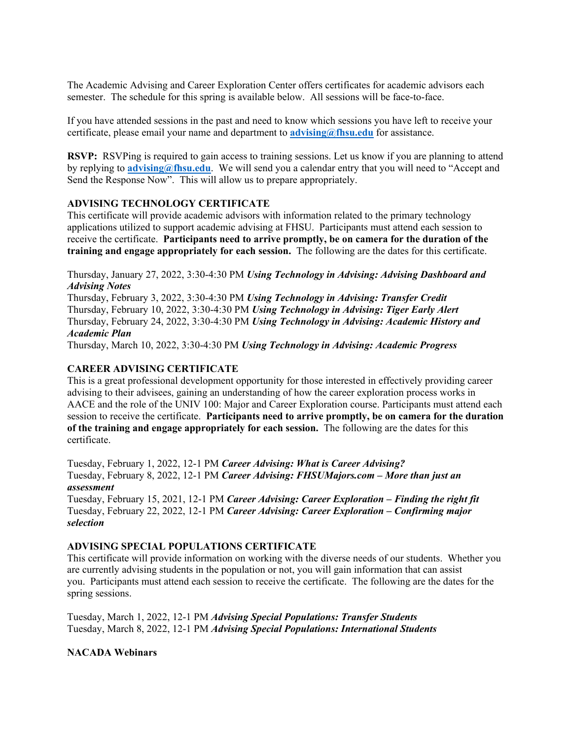The Academic Advising and Career Exploration Center offers certificates for academic advisors each semester. The schedule for this spring is available below. All sessions will be face-to-face.

If you have attended sessions in the past and need to know which sessions you have left to receive your certificate, please email your name and department to **[advising@fhsu.edu](mailto:advising@fhsu.edu)** for assistance.

**RSVP:** RSVPing is required to gain access to training sessions. Let us know if you are planning to attend by replying to **[advising@fhsu.edu](mailto:advising@fhsu.edu)**. We will send you a calendar entry that you will need to "Accept and Send the Response Now". This will allow us to prepare appropriately.

#### **ADVISING TECHNOLOGY CERTIFICATE**

This certificate will provide academic advisors with information related to the primary technology applications utilized to support academic advising at FHSU. Participants must attend each session to receive the certificate. **Participants need to arrive promptly, be on camera for the duration of the training and engage appropriately for each session.** The following are the dates for this certificate.

Thursday, January 27, 2022, 3:30-4:30 PM *Using Technology in Advising: Advising Dashboard and Advising Notes*

Thursday, February 3, 2022, 3:30-4:30 PM *Using Technology in Advising: Transfer Credit* Thursday, February 10, 2022, 3:30-4:30 PM *Using Technology in Advising: Tiger Early Alert* Thursday, February 24, 2022, 3:30-4:30 PM *Using Technology in Advising: Academic History and Academic Plan*

Thursday, March 10, 2022, 3:30-4:30 PM *Using Technology in Advising: Academic Progress*

#### **CAREER ADVISING CERTIFICATE**

This is a great professional development opportunity for those interested in effectively providing career advising to their advisees, gaining an understanding of how the career exploration process works in AACE and the role of the UNIV 100: Major and Career Exploration course. Participants must attend each session to receive the certificate. **Participants need to arrive promptly, be on camera for the duration of the training and engage appropriately for each session.** The following are the dates for this certificate.

Tuesday, February 1, 2022, 12-1 PM *Career Advising: What is Career Advising?* Tuesday, February 8, 2022, 12-1 PM *Career Advising: FHSUMajors.com – More than just an assessment*

Tuesday, February 15, 2021, 12-1 PM *Career Advising: Career Exploration – Finding the right fit* Tuesday, February 22, 2022, 12-1 PM *Career Advising: Career Exploration – Confirming major selection*

### **ADVISING SPECIAL POPULATIONS CERTIFICATE**

This certificate will provide information on working with the diverse needs of our students. Whether you are currently advising students in the population or not, you will gain information that can assist you. Participants must attend each session to receive the certificate. The following are the dates for the spring sessions.

Tuesday, March 1, 2022, 12-1 PM *Advising Special Populations: Transfer Students* Tuesday, March 8, 2022, 12-1 PM *Advising Special Populations: International Students*

### **NACADA Webinars**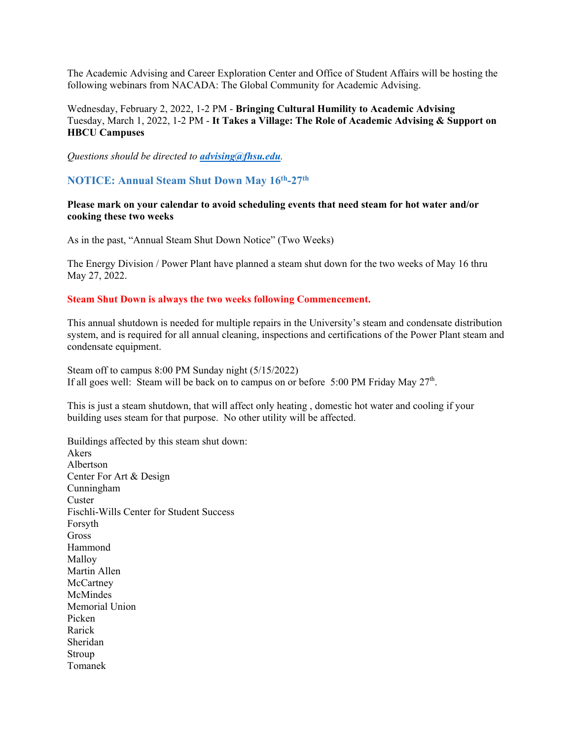The Academic Advising and Career Exploration Center and Office of Student Affairs will be hosting the following webinars from NACADA: The Global Community for Academic Advising.

### Wednesday, February 2, 2022, 1-2 PM - **Bringing Cultural Humility to Academic Advising** Tuesday, March 1, 2022, 1-2 PM - **It Takes a Village: The Role of Academic Advising & Support on HBCU Campuses**

*Questions should be directed to [advising@fhsu.edu](mailto:advising@fhsu.edu).*

#### <span id="page-8-0"></span>**NOTICE: Annual Steam Shut Down May 16th-27th**

**Please mark on your calendar to avoid scheduling events that need steam for hot water and/or cooking these two weeks**

As in the past, "Annual Steam Shut Down Notice" (Two Weeks)

The Energy Division / Power Plant have planned a steam shut down for the two weeks of May 16 thru May 27, 2022.

#### **Steam Shut Down is always the two weeks following Commencement.**

This annual shutdown is needed for multiple repairs in the University's steam and condensate distribution system, and is required for all annual cleaning, inspections and certifications of the Power Plant steam and condensate equipment.

Steam off to campus 8:00 PM Sunday night (5/15/2022) If all goes well: Steam will be back on to campus on or before 5:00 PM Friday May  $27<sup>th</sup>$ .

This is just a steam shutdown, that will affect only heating , domestic hot water and cooling if your building uses steam for that purpose. No other utility will be affected.

Buildings affected by this steam shut down: Akers Albertson Center For Art & Design Cunningham Custer Fischli-Wills Center for Student Success Forsyth Gross Hammond Malloy Martin Allen **McCartney** McMindes Memorial Union Picken Rarick Sheridan Stroup Tomanek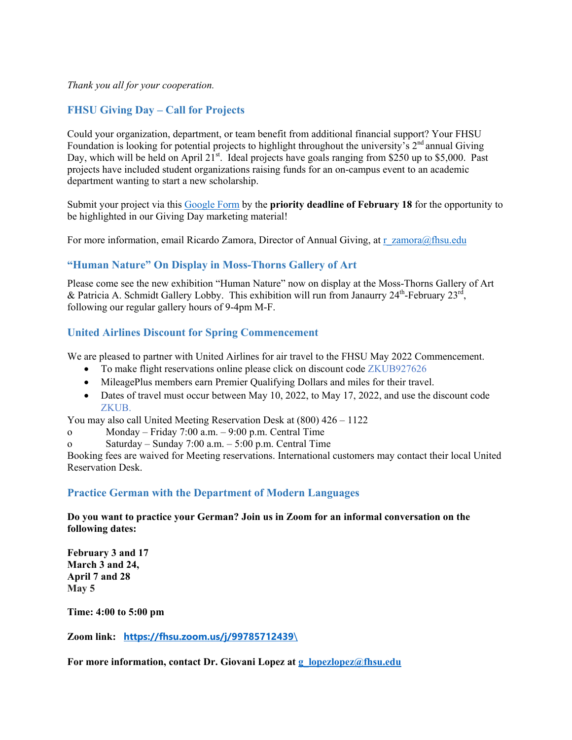*Thank you all for your cooperation.*

# <span id="page-9-0"></span>**FHSU Giving Day – Call for Projects**

Could your organization, department, or team benefit from additional financial support? Your FHSU Foundation is looking for potential projects to highlight throughout the university's  $2<sup>nd</sup>$  annual Giving Day, which will be held on April 21<sup>st</sup>. Ideal projects have goals ranging from \$250 up to \$5,000. Past projects have included student organizations raising funds for an on-campus event to an academic department wanting to start a new scholarship.

Submit your project via this [Google Form](https://docs.google.com/forms/d/e/1FAIpQLSfGGdZN44-oAR4DK91KIVMj0xqlPZb_u2aSW9911W5o8lF0HQ/viewform?usp=sf_link) by the **priority deadline of February 18** for the opportunity to be highlighted in our Giving Day marketing material!

For more information, email Ricardo Zamora, Director of Annual Giving, at  $r_z$  zamora@fhsu.edu

# <span id="page-9-1"></span>**"Human Nature" On Display in Moss-Thorns Gallery of Art**

Please come see the new exhibition "Human Nature" now on display at the Moss-Thorns Gallery of Art & Patricia A. Schmidt Gallery Lobby. This exhibition will run from Janaurry  $24^{\text{th}}$ -February  $23^{\text{rd}}$ , following our regular gallery hours of 9-4pm M-F.

# <span id="page-9-2"></span>**United Airlines Discount for Spring Commencement**

We are pleased to partner with United Airlines for air travel to the FHSU May 2022 Commencement.

- To make flight reservations online please click on discount code ZKUB927626
- MileagePlus members earn Premier Qualifying Dollars and miles for their travel.
- Dates of travel must occur between May 10, 2022, to May 17, 2022, and use the discount code ZKUB.

You may also call United Meeting Reservation Desk at (800) 426 – 1122

o Monday – Friday 7:00 a.m. – 9:00 p.m. Central Time

o Saturday – Sunday 7:00 a.m. –  $5:00$  p.m. Central Time

Booking fees are waived for Meeting reservations. International customers may contact their local United Reservation Desk.

### <span id="page-9-3"></span>**Practice German with the Department of Modern Languages**

**Do you want to practice your German? Join us in Zoom for an informal conversation on the following dates:**

**February 3 and 17 March 3 and 24, April 7 and 28 May 5**

**Time: 4:00 to 5:00 pm**

**Zoom link: [https://fhsu.zoom.us/j/99785712439](https://fhsu.zoom.us/j/99785712439/)**\

**For more information, contact Dr. Giovani Lopez at [g\\_lopezlopez@fhsu.edu](mailto:g_lopezlopez@fhsu.edu)**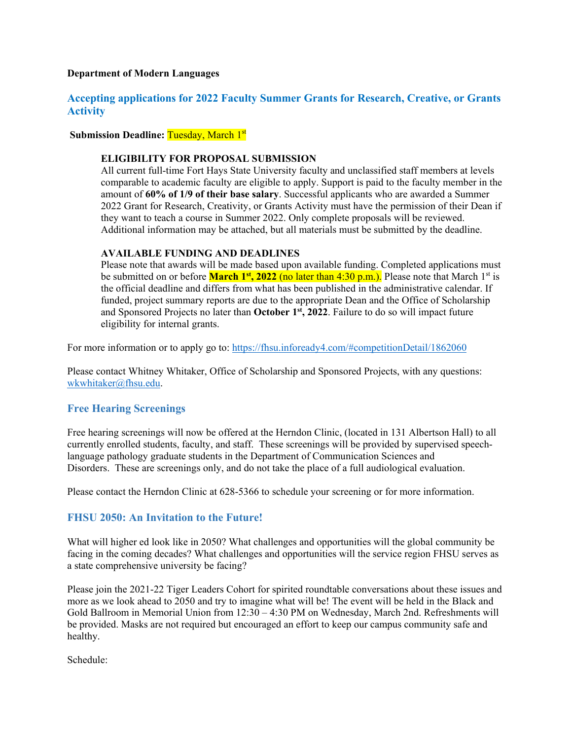### **Department of Modern Languages**

# <span id="page-10-0"></span>**Accepting applications for 2022 Faculty Summer Grants for Research, Creative, or Grants Activity**

**Submission Deadline: Tuesday, March 1st** 

#### **ELIGIBILITY FOR PROPOSAL SUBMISSION**

All current full-time Fort Hays State University faculty and unclassified staff members at levels comparable to academic faculty are eligible to apply. Support is paid to the faculty member in the amount of **60% of 1/9 of their base salary**. Successful applicants who are awarded a Summer 2022 Grant for Research, Creativity, or Grants Activity must have the permission of their Dean if they want to teach a course in Summer 2022. Only complete proposals will be reviewed. Additional information may be attached, but all materials must be submitted by the deadline.

#### **AVAILABLE FUNDING AND DEADLINES**

Please note that awards will be made based upon available funding. Completed applications must be submitted on or before **March 1<sup>st</sup>, 2022** (no later than 4:30 p.m.). Please note that March 1<sup>st</sup> is the official deadline and differs from what has been published in the administrative calendar. If funded, project summary reports are due to the appropriate Dean and the Office of Scholarship and Sponsored Projects no later than **October 1st, 2022**. Failure to do so will impact future eligibility for internal grants.

For more information or to apply go to:<https://fhsu.infoready4.com/#competitionDetail/1862060>

Please contact Whitney Whitaker, Office of Scholarship and Sponsored Projects, with any questions: [wkwhitaker@fhsu.edu.](mailto:mjkoonse@fhsu.edu)

# <span id="page-10-1"></span>**Free Hearing Screenings**

Free hearing screenings will now be offered at the Herndon Clinic, (located in 131 Albertson Hall) to all currently enrolled students, faculty, and staff. These screenings will be provided by supervised speechlanguage pathology graduate students in the Department of Communication Sciences and Disorders. These are screenings only, and do not take the place of a full audiological evaluation.

Please contact the Herndon Clinic at 628-5366 to schedule your screening or for more information.

# <span id="page-10-2"></span>**FHSU 2050: An Invitation to the Future!**

What will higher ed look like in 2050? What challenges and opportunities will the global community be facing in the coming decades? What challenges and opportunities will the service region FHSU serves as a state comprehensive university be facing?

Please join the 2021-22 Tiger Leaders Cohort for spirited roundtable conversations about these issues and more as we look ahead to 2050 and try to imagine what will be! The event will be held in the Black and Gold Ballroom in Memorial Union from 12:30 – 4:30 PM on Wednesday, March 2nd. Refreshments will be provided. Masks are not required but encouraged an effort to keep our campus community safe and healthy.

Schedule: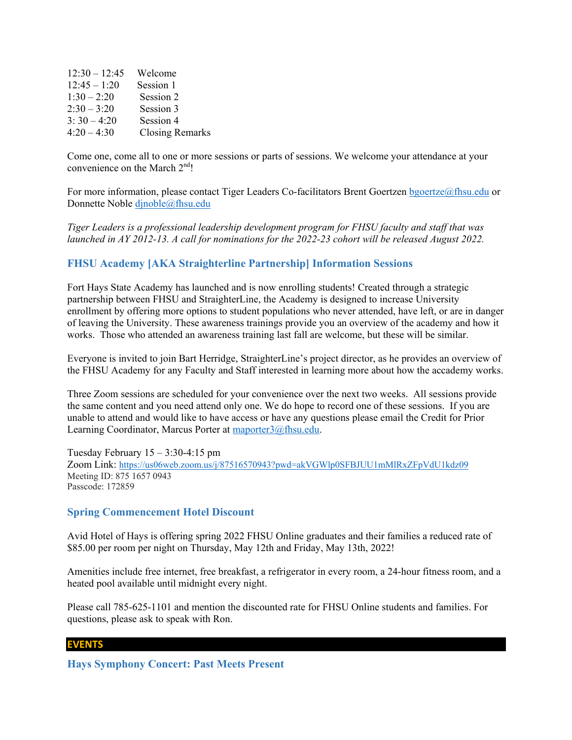| $12:30 - 12:45$ | Welcome                |
|-----------------|------------------------|
| $12:45 - 1:20$  | Session 1              |
| $1:30 - 2:20$   | Session 2              |
| $2:30 - 3:20$   | Session 3              |
| $3:30-4:20$     | Session 4              |
| $4:20 - 4:30$   | <b>Closing Remarks</b> |

Come one, come all to one or more sessions or parts of sessions. We welcome your attendance at your convenience on the March 2<sup>nd</sup>!

For more information, please contact Tiger Leaders Co-facilitators Brent Goertzen [bgoertze@fhsu.edu](mailto:bgoertze@fhsu.edu) or Donnette Noble [djnoble@fhsu.edu](mailto:djnoble@fhsu.edu)

*Tiger Leaders is a professional leadership development program for FHSU faculty and staff that was launched in AY 2012-13. A call for nominations for the 2022-23 cohort will be released August 2022.*

### <span id="page-11-0"></span>**FHSU Academy [AKA Straighterline Partnership] Information Sessions**

Fort Hays State Academy has launched and is now enrolling students! Created through a strategic partnership between FHSU and StraighterLine, the Academy is designed to increase University enrollment by offering more options to student populations who never attended, have left, or are in danger of leaving the University. These awareness trainings provide you an overview of the academy and how it works. Those who attended an awareness training last fall are welcome, but these will be similar.

Everyone is invited to join Bart Herridge, StraighterLine's project director, as he provides an overview of the FHSU Academy for any Faculty and Staff interested in learning more about how the accademy works.

Three Zoom sessions are scheduled for your convenience over the next two weeks. All sessions provide the same content and you need attend only one. We do hope to record one of these sessions. If you are unable to attend and would like to have access or have any questions please email the Credit for Prior Learning Coordinator, Marcus Porter at [maporter3@fhsu.edu.](mailto:maporter3@fhsu.edu)

Tuesday February  $15 - 3:30 - 4:15$  pm Zoom Link:<https://us06web.zoom.us/j/87516570943?pwd=akVGWlp0SFBJUU1mMlRxZFpVdU1kdz09> Meeting ID: 875 1657 0943 Passcode: 172859

### <span id="page-11-1"></span>**Spring Commencement Hotel Discount**

Avid Hotel of Hays is offering spring 2022 FHSU Online graduates and their families a reduced rate of \$85.00 per room per night on Thursday, May 12th and Friday, May 13th, 2022!

Amenities include free internet, free breakfast, a refrigerator in every room, a 24-hour fitness room, and a heated pool available until midnight every night.

Please call 785-625-1101 and mention the discounted rate for FHSU Online students and families. For questions, please ask to speak with Ron.

#### **EVENTS**

<span id="page-11-2"></span>**Hays Symphony Concert: Past Meets Present**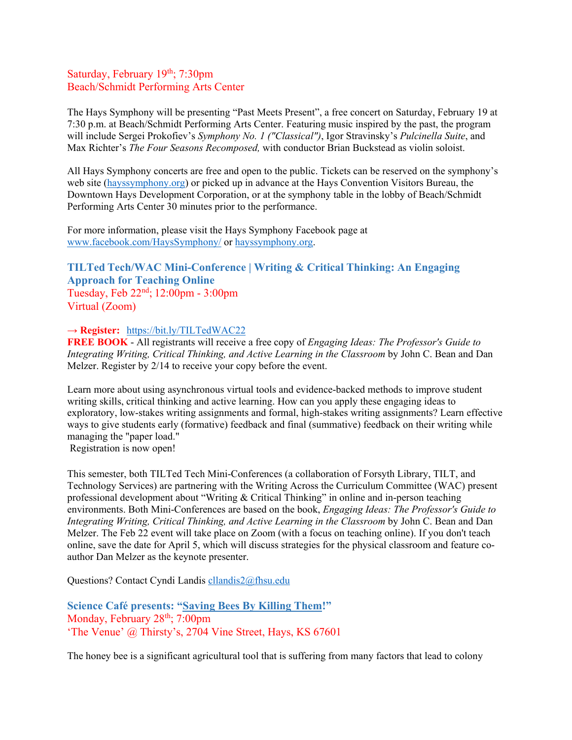# Saturday, February 19<sup>th</sup>; 7:30pm Beach/Schmidt Performing Arts Center

The Hays Symphony will be presenting "Past Meets Present", a free concert on Saturday, February 19 at 7:30 p.m. at Beach/Schmidt Performing Arts Center. Featuring music inspired by the past, the program will include Sergei Prokofiev's *Symphony No. 1 ("Classical")*, Igor Stravinsky's *Pulcinella Suite*, and Max Richter's *The Four Seasons Recomposed,* with conductor Brian Buckstead as violin soloist.

All Hays Symphony concerts are free and open to the public. Tickets can be reserved on the symphony's web site [\(hayssymphony.org\)](https://www.hayssymphony.org/) or picked up in advance at the Hays Convention Visitors Bureau, the Downtown Hays Development Corporation, or at the symphony table in the lobby of Beach/Schmidt Performing Arts Center 30 minutes prior to the performance.

For more information, please visit the Hays Symphony Facebook page at [www.facebook.com/HaysSymphony/](http://www.facebook.com/HaysSymphony/) or [hayssymphony.org.](https://www.hayssymphony.org/)

# <span id="page-12-0"></span>**TILTed Tech/WAC Mini-Conference | Writing & Critical Thinking: An Engaging Approach for Teaching Online** Tuesday, Feb 22nd; 12:00pm - 3:00pm

Virtual (Zoom)

### **→ Register:** <https://bit.ly/TILTedWAC22>

**FREE BOOK** - All registrants will receive a free copy of *Engaging Ideas: The Professor's Guide to Integrating Writing, Critical Thinking, and Active Learning in the Classroom* by John C. Bean and Dan Melzer. Register by 2/14 to receive your copy before the event.

Learn more about using asynchronous virtual tools and evidence-backed methods to improve student writing skills, critical thinking and active learning. How can you apply these engaging ideas to exploratory, low-stakes writing assignments and formal, high-stakes writing assignments? Learn effective ways to give students early (formative) feedback and final (summative) feedback on their writing while managing the "paper load."

Registration is now open! 

This semester, both TILTed Tech Mini-Conferences (a collaboration of Forsyth Library, TILT, and Technology Services) are partnering with the Writing Across the Curriculum Committee (WAC) present professional development about "Writing & Critical Thinking" in online and in-person teaching environments. Both Mini-Conferences are based on the book, *Engaging Ideas: The Professor's Guide to Integrating Writing, Critical Thinking, and Active Learning in the Classroom* by John C. Bean and Dan Melzer. The Feb 22 event will take place on Zoom (with a focus on teaching online). If you don't teach online, save the date for April 5, which will discuss strategies for the physical classroom and feature coauthor Dan Melzer as the keynote presenter.

Questions? Contact Cyndi Landis [cllandis2@fhsu.edu](mailto:cllandis2@fhsu.edu)

<span id="page-12-1"></span>**Science Café presents: "Saving Bees By Killing Them!"** Monday, February  $28<sup>th</sup>$ ;  $7:00<sub>pm</sub>$ 'The Venue' @ Thirsty's, 2704 Vine Street, Hays, KS 67601

The honey bee is a significant agricultural tool that is suffering from many factors that lead to colony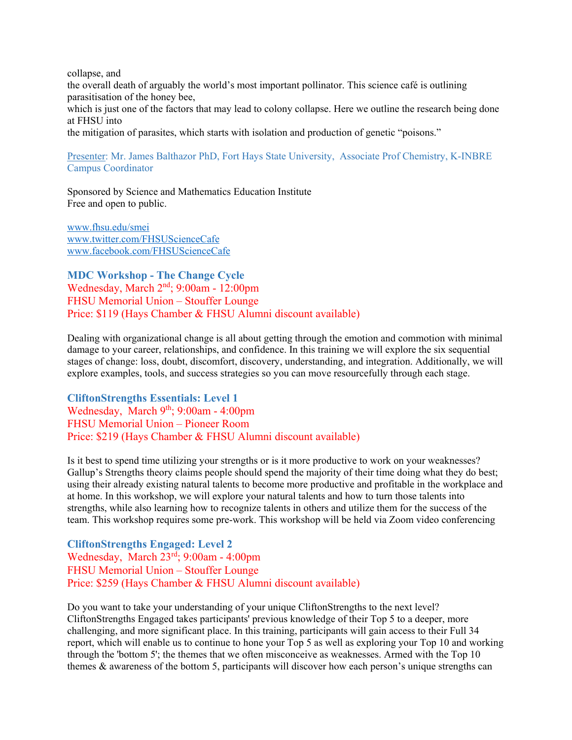collapse, and the overall death of arguably the world's most important pollinator. This science café is outlining parasitisation of the honey bee,

which is just one of the factors that may lead to colony collapse. Here we outline the research being done at FHSU into

the mitigation of parasites, which starts with isolation and production of genetic "poisons."

### Presenter: Mr. James Balthazor PhD, Fort Hays State University, Associate Prof Chemistry, K-INBRE Campus Coordinator

Sponsored by Science and Mathematics Education Institute Free and open to public.

[www.fhsu.edu/smei](http://www.fhsu.edu/smei) [www.twitter.com/FHSUScienceCafe](http://www.twitter.com/FHSUScienceCafe) [www.facebook.com/FHSUScienceCafe](http://www.facebook.com/FHSUScienceCafe)

<span id="page-13-0"></span>**MDC Workshop - The Change Cycle**  Wednesday, March 2nd; 9:00am - 12:00pm FHSU Memorial Union – Stouffer Lounge Price: \$119 (Hays Chamber & FHSU Alumni discount available)

Dealing with organizational change is all about getting through the emotion and commotion with minimal damage to your career, relationships, and confidence. In this training we will explore the six sequential stages of change: loss, doubt, discomfort, discovery, understanding, and integration. Additionally, we will explore examples, tools, and success strategies so you can move resourcefully through each stage.

<span id="page-13-1"></span>**CliftonStrengths Essentials: Level 1**  Wednesday, March 9<sup>th</sup>; 9:00am - 4:00pm FHSU Memorial Union – Pioneer Room Price: \$219 (Hays Chamber & FHSU Alumni discount available)

Is it best to spend time utilizing your strengths or is it more productive to work on your weaknesses? Gallup's Strengths theory claims people should spend the majority of their time doing what they do best; using their already existing natural talents to become more productive and profitable in the workplace and at home. In this workshop, we will explore your natural talents and how to turn those talents into strengths, while also learning how to recognize talents in others and utilize them for the success of the team. This workshop requires some pre-work. This workshop will be held via Zoom video conferencing

<span id="page-13-2"></span>**CliftonStrengths Engaged: Level 2** Wednesday, March 23rd; 9:00am - 4:00pm FHSU Memorial Union – Stouffer Lounge Price: \$259 (Hays Chamber & FHSU Alumni discount available)

Do you want to take your understanding of your unique CliftonStrengths to the next level? CliftonStrengths Engaged takes participants' previous knowledge of their Top 5 to a deeper, more challenging, and more significant place. In this training, participants will gain access to their Full 34 report, which will enable us to continue to hone your Top 5 as well as exploring your Top 10 and working through the 'bottom 5'; the themes that we often misconceive as weaknesses. Armed with the Top 10 themes & awareness of the bottom 5, participants will discover how each person's unique strengths can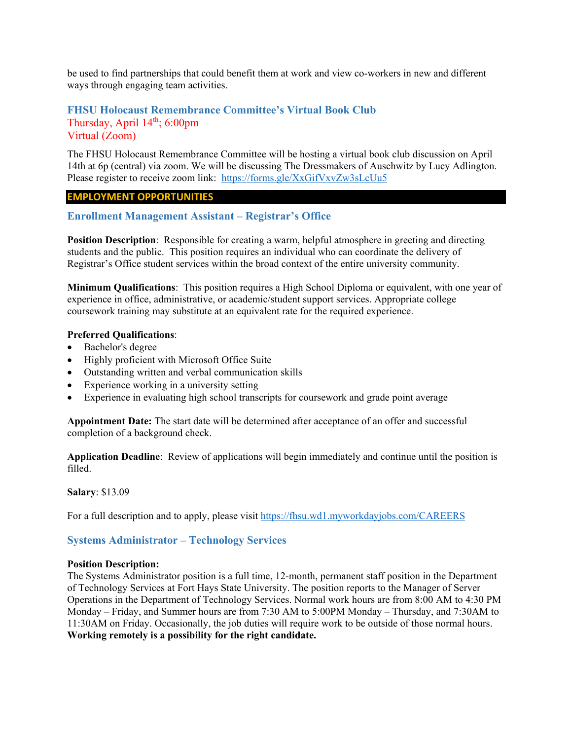be used to find partnerships that could benefit them at work and view co-workers in new and different ways through engaging team activities.

# <span id="page-14-0"></span>**FHSU Holocaust Remembrance Committee's Virtual Book Club** Thursday, April  $14<sup>th</sup>$ ; 6:00pm Virtual (Zoom)

The FHSU Holocaust Remembrance Committee will be hosting a virtual book club discussion on April 14th at 6p (central) via zoom. We will be discussing The Dressmakers of Auschwitz by Lucy Adlington. Please register to receive zoom link: <https://forms.gle/XxGifVxvZw3sLcUu5>

### **EMPLOYMENT OPPORTUNITIES**

<span id="page-14-1"></span>**Enrollment Management Assistant – Registrar's Office**

**Position Description**: Responsible for creating a warm, helpful atmosphere in greeting and directing students and the public. This position requires an individual who can coordinate the delivery of Registrar's Office student services within the broad context of the entire university community.

**Minimum Qualifications**: This position requires a High School Diploma or equivalent, with one year of experience in office, administrative, or academic/student support services. Appropriate college coursework training may substitute at an equivalent rate for the required experience.

### **Preferred Qualifications**:

- Bachelor's degree
- Highly proficient with Microsoft Office Suite
- Outstanding written and verbal communication skills
- Experience working in a university setting
- Experience in evaluating high school transcripts for coursework and grade point average

**Appointment Date:** The start date will be determined after acceptance of an offer and successful completion of a background check.

**Application Deadline**: Review of applications will begin immediately and continue until the position is filled.

**Salary**: \$13.09

For a full description and to apply, please visit<https://fhsu.wd1.myworkdayjobs.com/CAREERS>

### <span id="page-14-2"></span>**Systems Administrator – Technology Services**

#### **Position Description:**

The Systems Administrator position is a full time, 12-month, permanent staff position in the Department of Technology Services at Fort Hays State University. The position reports to the Manager of Server Operations in the Department of Technology Services. Normal work hours are from 8:00 AM to 4:30 PM Monday – Friday, and Summer hours are from 7:30 AM to 5:00PM Monday – Thursday, and 7:30AM to 11:30AM on Friday. Occasionally, the job duties will require work to be outside of those normal hours. **Working remotely is a possibility for the right candidate.**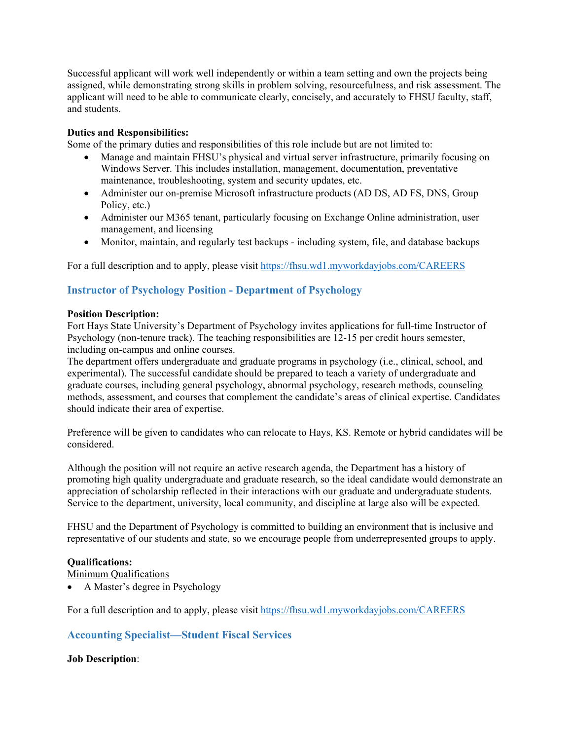Successful applicant will work well independently or within a team setting and own the projects being assigned, while demonstrating strong skills in problem solving, resourcefulness, and risk assessment. The applicant will need to be able to communicate clearly, concisely, and accurately to FHSU faculty, staff, and students.

### **Duties and Responsibilities:**

Some of the primary duties and responsibilities of this role include but are not limited to:

- Manage and maintain FHSU's physical and virtual server infrastructure, primarily focusing on Windows Server. This includes installation, management, documentation, preventative maintenance, troubleshooting, system and security updates, etc.
- Administer our on-premise Microsoft infrastructure products (AD DS, AD FS, DNS, Group Policy, etc.)
- Administer our M365 tenant, particularly focusing on Exchange Online administration, user management, and licensing
- Monitor, maintain, and regularly test backups including system, file, and database backups

For a full description and to apply, please visit<https://fhsu.wd1.myworkdayjobs.com/CAREERS>

# <span id="page-15-0"></span>**Instructor of Psychology Position - Department of Psychology**

#### **Position Description:**

Fort Hays State University's Department of Psychology invites applications for full-time Instructor of Psychology (non-tenure track). The teaching responsibilities are 12-15 per credit hours semester, including on-campus and online courses.

The department offers undergraduate and graduate programs in psychology (i.e., clinical, school, and experimental). The successful candidate should be prepared to teach a variety of undergraduate and graduate courses, including general psychology, abnormal psychology, research methods, counseling methods, assessment, and courses that complement the candidate's areas of clinical expertise. Candidates should indicate their area of expertise.

Preference will be given to candidates who can relocate to Hays, KS. Remote or hybrid candidates will be considered.

Although the position will not require an active research agenda, the Department has a history of promoting high quality undergraduate and graduate research, so the ideal candidate would demonstrate an appreciation of scholarship reflected in their interactions with our graduate and undergraduate students. Service to the department, university, local community, and discipline at large also will be expected.

FHSU and the Department of Psychology is committed to building an environment that is inclusive and representative of our students and state, so we encourage people from underrepresented groups to apply.

### **Qualifications:**

Minimum Qualifications

• A Master's degree in Psychology

<span id="page-15-1"></span>For a full description and to apply, please visit<https://fhsu.wd1.myworkdayjobs.com/CAREERS>

# **Accounting Specialist—Student Fiscal Services**

### **Job Description**: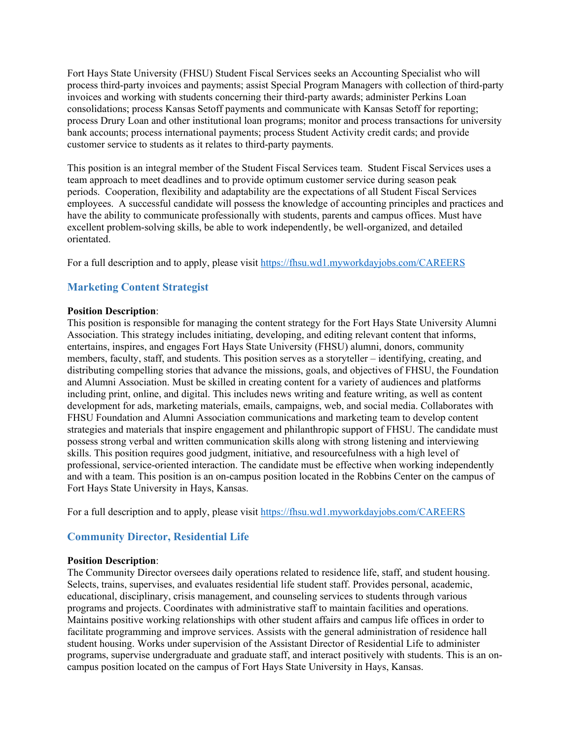Fort Hays State University (FHSU) Student Fiscal Services seeks an Accounting Specialist who will process third-party invoices and payments; assist Special Program Managers with collection of third-party invoices and working with students concerning their third-party awards; administer Perkins Loan consolidations; process Kansas Setoff payments and communicate with Kansas Setoff for reporting; process Drury Loan and other institutional loan programs; monitor and process transactions for university bank accounts; process international payments; process Student Activity credit cards; and provide customer service to students as it relates to third-party payments.

This position is an integral member of the Student Fiscal Services team. Student Fiscal Services uses a team approach to meet deadlines and to provide optimum customer service during season peak periods. Cooperation, flexibility and adaptability are the expectations of all Student Fiscal Services employees. A successful candidate will possess the knowledge of accounting principles and practices and have the ability to communicate professionally with students, parents and campus offices. Must have excellent problem-solving skills, be able to work independently, be well-organized, and detailed orientated.

For a full description and to apply, please visit<https://fhsu.wd1.myworkdayjobs.com/CAREERS>

# <span id="page-16-0"></span>**Marketing Content Strategist**

#### **Position Description**:

This position is responsible for managing the content strategy for the Fort Hays State University Alumni Association. This strategy includes initiating, developing, and editing relevant content that informs, entertains, inspires, and engages Fort Hays State University (FHSU) alumni, donors, community members, faculty, staff, and students. This position serves as a storyteller – identifying, creating, and distributing compelling stories that advance the missions, goals, and objectives of FHSU, the Foundation and Alumni Association. Must be skilled in creating content for a variety of audiences and platforms including print, online, and digital. This includes news writing and feature writing, as well as content development for ads, marketing materials, emails, campaigns, web, and social media. Collaborates with FHSU Foundation and Alumni Association communications and marketing team to develop content strategies and materials that inspire engagement and philanthropic support of FHSU. The candidate must possess strong verbal and written communication skills along with strong listening and interviewing skills. This position requires good judgment, initiative, and resourcefulness with a high level of professional, service-oriented interaction. The candidate must be effective when working independently and with a team. This position is an on-campus position located in the Robbins Center on the campus of Fort Hays State University in Hays, Kansas.

For a full description and to apply, please visit<https://fhsu.wd1.myworkdayjobs.com/CAREERS>

# <span id="page-16-1"></span>**Community Director, Residential Life**

### **Position Description**:

The Community Director oversees daily operations related to residence life, staff, and student housing. Selects, trains, supervises, and evaluates residential life student staff. Provides personal, academic, educational, disciplinary, crisis management, and counseling services to students through various programs and projects. Coordinates with administrative staff to maintain facilities and operations. Maintains positive working relationships with other student affairs and campus life offices in order to facilitate programming and improve services. Assists with the general administration of residence hall student housing. Works under supervision of the Assistant Director of Residential Life to administer programs, supervise undergraduate and graduate staff, and interact positively with students. This is an oncampus position located on the campus of Fort Hays State University in Hays, Kansas.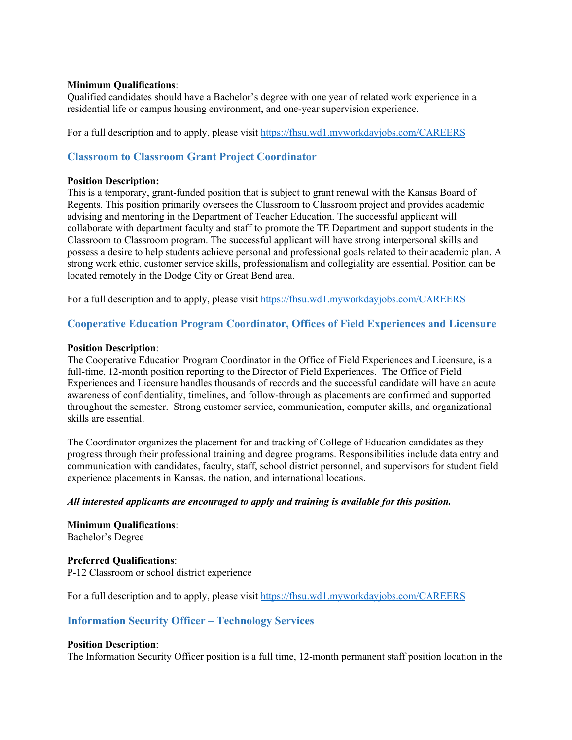### **Minimum Qualifications**:

Qualified candidates should have a Bachelor's degree with one year of related work experience in a residential life or campus housing environment, and one-year supervision experience.

For a full description and to apply, please visit<https://fhsu.wd1.myworkdayjobs.com/CAREERS>

# <span id="page-17-0"></span>**Classroom to Classroom Grant Project Coordinator**

#### **Position Description:**

This is a temporary, grant-funded position that is subject to grant renewal with the Kansas Board of Regents. This position primarily oversees the Classroom to Classroom project and provides academic advising and mentoring in the Department of Teacher Education. The successful applicant will collaborate with department faculty and staff to promote the TE Department and support students in the Classroom to Classroom program. The successful applicant will have strong interpersonal skills and possess a desire to help students achieve personal and professional goals related to their academic plan. A strong work ethic, customer service skills, professionalism and collegiality are essential. Position can be located remotely in the Dodge City or Great Bend area.

For a full description and to apply, please visit<https://fhsu.wd1.myworkdayjobs.com/CAREERS>

# <span id="page-17-1"></span>**Cooperative Education Program Coordinator, Offices of Field Experiences and Licensure**

#### **Position Description**:

The Cooperative Education Program Coordinator in the Office of Field Experiences and Licensure, is a full-time, 12-month position reporting to the Director of Field Experiences. The Office of Field Experiences and Licensure handles thousands of records and the successful candidate will have an acute awareness of confidentiality, timelines, and follow-through as placements are confirmed and supported throughout the semester. Strong customer service, communication, computer skills, and organizational skills are essential.

The Coordinator organizes the placement for and tracking of College of Education candidates as they progress through their professional training and degree programs. Responsibilities include data entry and communication with candidates, faculty, staff, school district personnel, and supervisors for student field experience placements in Kansas, the nation, and international locations.

### *All interested applicants are encouraged to apply and training is available for this position.*

**Minimum Qualifications**: Bachelor's Degree

### **Preferred Qualifications**:

P-12 Classroom or school district experience

For a full description and to apply, please visit<https://fhsu.wd1.myworkdayjobs.com/CAREERS>

### <span id="page-17-2"></span>**Information Security Officer – Technology Services**

#### **Position Description**:

The Information Security Officer position is a full time, 12-month permanent staff position location in the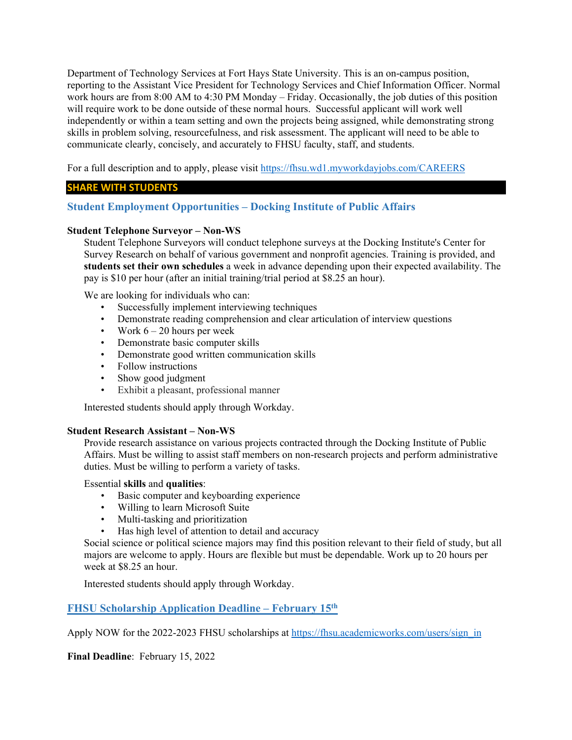Department of Technology Services at Fort Hays State University. This is an on-campus position, reporting to the Assistant Vice President for Technology Services and Chief Information Officer. Normal work hours are from 8:00 AM to 4:30 PM Monday – Friday. Occasionally, the job duties of this position will require work to be done outside of these normal hours. Successful applicant will work well independently or within a team setting and own the projects being assigned, while demonstrating strong skills in problem solving, resourcefulness, and risk assessment. The applicant will need to be able to communicate clearly, concisely, and accurately to FHSU faculty, staff, and students.

For a full description and to apply, please visit<https://fhsu.wd1.myworkdayjobs.com/CAREERS>

### **SHARE WITH STUDENTS**

# <span id="page-18-0"></span>**Student Employment Opportunities – Docking Institute of Public Affairs**

### **Student Telephone Surveyor – Non-WS**

Student Telephone Surveyors will conduct telephone surveys at the Docking Institute's Center for Survey Research on behalf of various government and nonprofit agencies. Training is provided, and **students set their own schedules** a week in advance depending upon their expected availability. The pay is \$10 per hour (after an initial training/trial period at \$8.25 an hour).

We are looking for individuals who can:

- Successfully implement interviewing techniques
- Demonstrate reading comprehension and clear articulation of interview questions
- Work  $6 20$  hours per week
- Demonstrate basic computer skills
- Demonstrate good written communication skills
- Follow instructions
- Show good judgment
- Exhibit a pleasant, professional manner

Interested students should apply through Workday.

### **Student Research Assistant – Non-WS**

Provide research assistance on various projects contracted through the Docking Institute of Public Affairs. Must be willing to assist staff members on non-research projects and perform administrative duties. Must be willing to perform a variety of tasks.

### Essential **skills** and **qualities**:

- Basic computer and keyboarding experience
- Willing to learn Microsoft Suite
- Multi-tasking and prioritization
- Has high level of attention to detail and accuracy

Social science or political science majors may find this position relevant to their field of study, but all majors are welcome to apply. Hours are flexible but must be dependable. Work up to 20 hours per week at \$8.25 an hour.

Interested students should apply through Workday.

# <span id="page-18-1"></span>**FHSU Scholarship Application Deadline – February 15th**

Apply NOW for the 2022-2023 FHSU scholarships at [https://fhsu.academicworks.com/users/sign\\_in](https://fhsu.academicworks.com/users/sign_in)

**Final Deadline**: February 15, 2022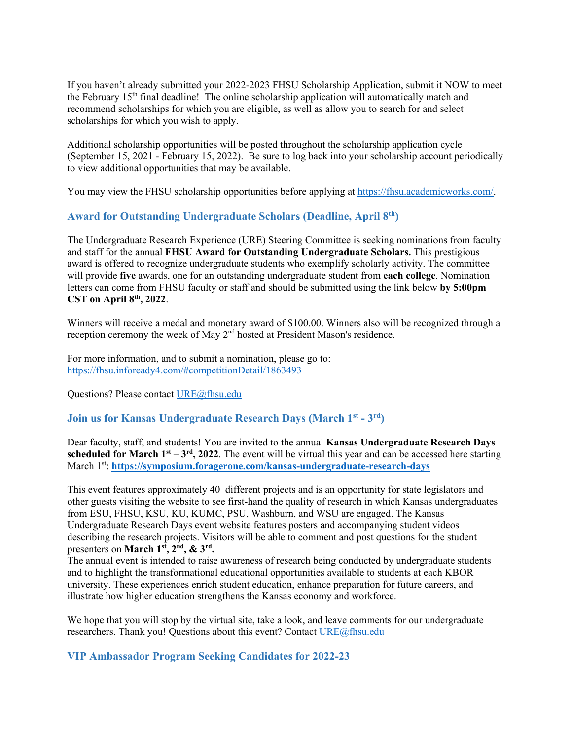If you haven't already submitted your 2022-2023 FHSU Scholarship Application, submit it NOW to meet the February 15<sup>th</sup> final deadline! The online scholarship application will automatically match and recommend scholarships for which you are eligible, as well as allow you to search for and select scholarships for which you wish to apply.

Additional scholarship opportunities will be posted throughout the scholarship application cycle (September 15, 2021 - February 15, 2022). Be sure to log back into your scholarship account periodically to view additional opportunities that may be available.

You may view the FHSU scholarship opportunities before applying at [https://fhsu.academicworks.com/.](https://fhsu.academicworks.com/)

# <span id="page-19-0"></span>**Award for Outstanding Undergraduate Scholars (Deadline, April 8th)**

The Undergraduate Research Experience (URE) Steering Committee is seeking nominations from faculty and staff for the annual **FHSU Award for Outstanding Undergraduate Scholars.** This prestigious award is offered to recognize undergraduate students who exemplify scholarly activity. The committee will provide **five** awards, one for an outstanding undergraduate student from **each college**. Nomination letters can come from FHSU faculty or staff and should be submitted using the link below **by 5:00pm CST on April 8th, 2022**.

Winners will receive a medal and monetary award of \$100.00. Winners also will be recognized through a reception ceremony the week of May 2<sup>nd</sup> hosted at President Mason's residence.

For more information, and to submit a nomination, please go to: <https://fhsu.infoready4.com/#competitionDetail/1863493>

Questions? Please contact [URE@fhsu.edu](mailto:URE@fhsu.edu)

# **Join us for Kansas Undergraduate Research Days (March 1st - 3rd)**

Dear faculty, staff, and students! You are invited to the annual **Kansas Undergraduate Research Days scheduled for March**  $1^{st} - 3^{rd}$ **, 2022.** The event will be virtual this year and can be accessed here starting March 1st: **<https://symposium.foragerone.com/kansas-undergraduate-research-days>**

This event features approximately 40 different projects and is an opportunity for state legislators and other guests visiting the website to see first-hand the quality of research in which Kansas undergraduates from ESU, FHSU, KSU, KU, KUMC, PSU, Washburn, and WSU are engaged. The Kansas Undergraduate Research Days event website features posters and accompanying student videos describing the research projects. Visitors will be able to comment and post questions for the student presenters on **March 1st, 2nd, & 3rd.**

The annual event is intended to raise awareness of research being conducted by undergraduate students and to highlight the transformational educational opportunities available to students at each KBOR university. These experiences enrich student education, enhance preparation for future careers, and illustrate how higher education strengthens the Kansas economy and workforce.

We hope that you will stop by the virtual site, take a look, and leave comments for our undergraduate researchers. Thank you! Questions about this event? Contac[t URE@fhsu.edu](mailto:URE@fhsu.edu)

<span id="page-19-1"></span>**VIP Ambassador Program Seeking Candidates for 2022-23**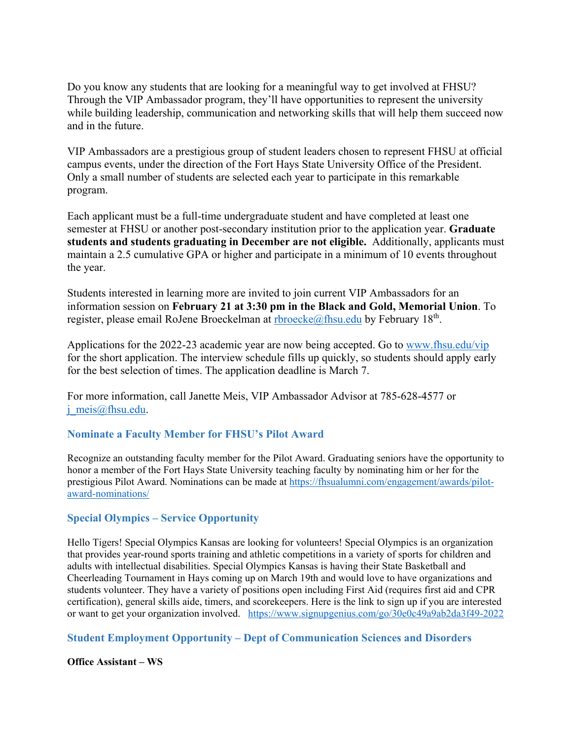Do you know any students that are looking for a meaningful way to get involved at FHSU? Through the VIP Ambassador program, they'll have opportunities to represent the university while building leadership, communication and networking skills that will help them succeed now and in the future.

VIP Ambassadors are a prestigious group of student leaders chosen to represent FHSU at official campus events, under the direction of the Fort Hays State University Office of the President. Only a small number of students are selected each year to participate in this remarkable program.

Each applicant must be a full-time undergraduate student and have completed at least one semester at FHSU or another post-secondary institution prior to the application year. **Graduate students and students graduating in December are not eligible.** Additionally, applicants must maintain a 2.5 cumulative GPA or higher and participate in a minimum of 10 events throughout the year.

Students interested in learning more are invited to join current VIP Ambassadors for an information session on **February 21 at 3:30 pm in the Black and Gold, Memorial Union**. To register, please email RoJene Broeckelman at [rbroecke@fhsu.edu](mailto:rbroecke@fhsu.edu) by February  $18<sup>th</sup>$ .

Applications for the 2022-23 academic year are now being accepted. Go to [www.fhsu.edu/vip](http://www.fhsu.edu/vip) for the short application. The interview schedule fills up quickly, so students should apply early for the best selection of times. The application deadline is March 7.

For more information, call Janette Meis, VIP Ambassador Advisor at 785-628-4577 or [j\\_meis@fhsu.edu.](mailto:j_meis@fhsu.edu)

# <span id="page-20-0"></span>**Nominate a Faculty Member for FHSU's Pilot Award**

Recognize an outstanding faculty member for the Pilot Award. Graduating seniors have the opportunity to honor a member of the Fort Hays State University teaching faculty by nominating him or her for the prestigious Pilot Award. Nominations can be made at [https://fhsualumni.com/engagement/awards/pilot](https://fhsualumni.com/engagement/awards/pilot-award-nominations/)[award-nominations/](https://fhsualumni.com/engagement/awards/pilot-award-nominations/)

# <span id="page-20-1"></span>**Special Olympics – Service Opportunity**

Hello Tigers! Special Olympics Kansas are looking for volunteers! Special Olympics is an organization that provides year-round sports training and athletic competitions in a variety of sports for children and adults with intellectual disabilities. Special Olympics Kansas is having their State Basketball and Cheerleading Tournament in Hays coming up on March 19th and would love to have organizations and students volunteer. They have a variety of positions open including First Aid (requires first aid and CPR certification), general skills aide, timers, and scorekeepers. Here is the link to sign up if you are interested or want to get your organization involved. <https://www.signupgenius.com/go/30e0c49a9ab2da3f49-2022>

# <span id="page-20-2"></span>**Student Employment Opportunity – Dept of Communication Sciences and Disorders**

### **Office Assistant – WS**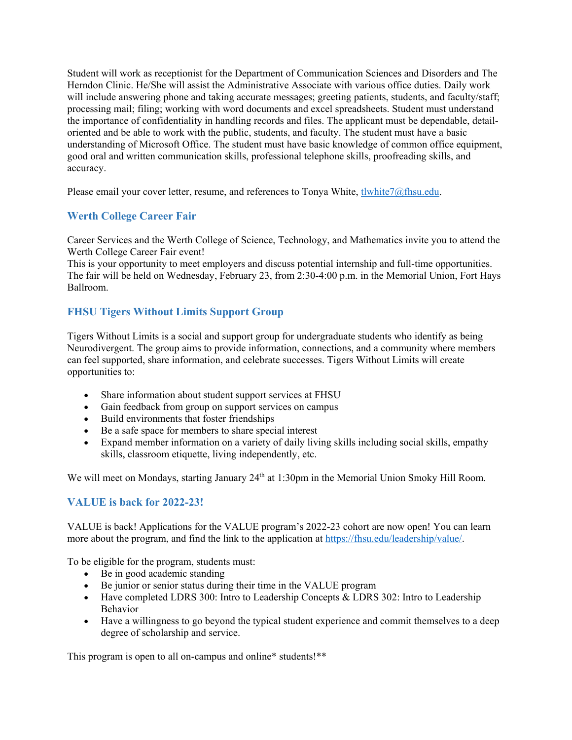Student will work as receptionist for the Department of Communication Sciences and Disorders and The Herndon Clinic. He/She will assist the Administrative Associate with various office duties. Daily work will include answering phone and taking accurate messages; greeting patients, students, and faculty/staff; processing mail; filing; working with word documents and excel spreadsheets. Student must understand the importance of confidentiality in handling records and files. The applicant must be dependable, detailoriented and be able to work with the public, students, and faculty. The student must have a basic understanding of Microsoft Office. The student must have basic knowledge of common office equipment, good oral and written communication skills, professional telephone skills, proofreading skills, and accuracy.

Please email your cover letter, resume, and references to Tonya White, tlwhite $7@$ fhsu.edu.

# <span id="page-21-0"></span>**Werth College Career Fair**

Career Services and the Werth College of Science, Technology, and Mathematics invite you to attend the Werth College Career Fair event!

This is your opportunity to meet employers and discuss potential internship and full-time opportunities. The fair will be held on Wednesday, February 23, from 2:30-4:00 p.m. in the Memorial Union, Fort Hays Ballroom.

# <span id="page-21-1"></span>**FHSU Tigers Without Limits Support Group**

Tigers Without Limits is a social and support group for undergraduate students who identify as being Neurodivergent. The group aims to provide information, connections, and a community where members can feel supported, share information, and celebrate successes. Tigers Without Limits will create opportunities to:

- Share information about student support services at FHSU
- Gain feedback from group on support services on campus
- Build environments that foster friendships
- Be a safe space for members to share special interest
- Expand member information on a variety of daily living skills including social skills, empathy skills, classroom etiquette, living independently, etc.

We will meet on Mondays, starting January 24<sup>th</sup> at 1:30pm in the Memorial Union Smoky Hill Room.

# <span id="page-21-2"></span>**VALUE is back for 2022-23!**

VALUE is back! Applications for the VALUE program's 2022-23 cohort are now open! You can learn more about the program, and find the link to the application at [https://fhsu.edu/leadership/value/.](https://fhsu.edu/leadership/value/)

To be eligible for the program, students must:

- Be in good academic standing
- Be junior or senior status during their time in the VALUE program
- Have completed LDRS 300: Intro to Leadership Concepts & LDRS 302: Intro to Leadership Behavior
- Have a willingness to go beyond the typical student experience and commit themselves to a deep degree of scholarship and service.

This program is open to all on-campus and online\* students!\*\*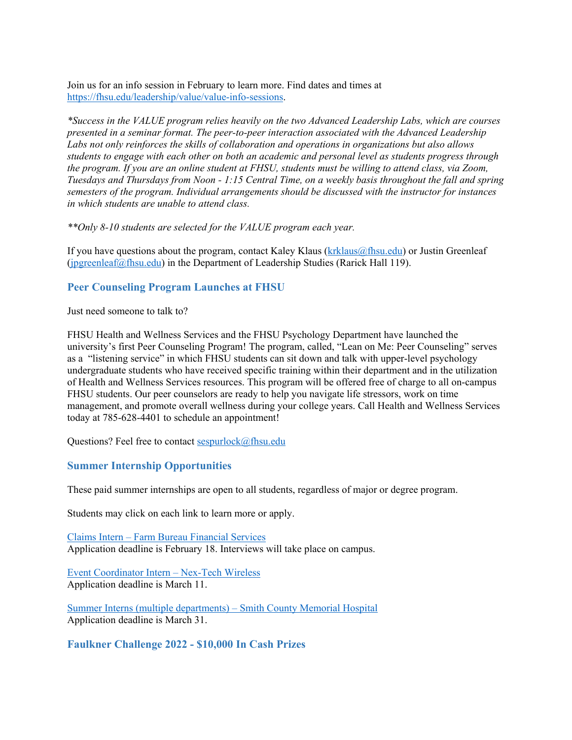Join us for an info session in February to learn more. Find dates and times at [https://fhsu.edu/leadership/value/value-info-sessions.](https://fhsu.edu/leadership/value/value-info-sessions) 

*\*Success in the VALUE program relies heavily on the two Advanced Leadership Labs, which are courses presented in a seminar format. The peer-to-peer interaction associated with the Advanced Leadership Labs not only reinforces the skills of collaboration and operations in organizations but also allows students to engage with each other on both an academic and personal level as students progress through the program. If you are an online student at FHSU, students must be willing to attend class, via Zoom, Tuesdays and Thursdays from Noon - 1:15 Central Time, on a weekly basis throughout the fall and spring semesters of the program. Individual arrangements should be discussed with the instructor for instances in which students are unable to attend class.*

*\*\*Only 8-10 students are selected for the VALUE program each year.*

If you have questions about the program, contact Kaley Klaus  $(krklaus(\theta)$  filst or Justin Greenleaf [\(jpgreenleaf@fhsu.edu\)](mailto:jpgreenleaf@fhsu.edu) in the Department of Leadership Studies (Rarick Hall 119).

# <span id="page-22-0"></span>**Peer Counseling Program Launches at FHSU**

Just need someone to talk to?

FHSU Health and Wellness Services and the FHSU Psychology Department have launched the university's first Peer Counseling Program! The program, called, "Lean on Me: Peer Counseling" serves as a "listening service" in which FHSU students can sit down and talk with upper-level psychology undergraduate students who have received specific training within their department and in the utilization of Health and Wellness Services resources. This program will be offered free of charge to all on-campus FHSU students. Our peer counselors are ready to help you navigate life stressors, work on time management, and promote overall wellness during your college years. Call Health and Wellness Services today at 785-628-4401 to schedule an appointment!

Questions? Feel free to contact [sespurlock@fhsu.edu](mailto:sespurlock@fhsu.edu)

# <span id="page-22-1"></span>**Summer Internship Opportunities**

These paid summer internships are open to all students, regardless of major or degree program.

Students may click on each link to learn more or apply.

Claims Intern – [Farm Bureau Financial Services](https://fhsu.joinhandshake.com/jobs/5885816/share_preview) Application deadline is February 18. Interviews will take place on campus.

[Event Coordinator Intern –](https://fhsu.joinhandshake.com/jobs/5868537/share_preview) Nex-Tech Wireless Application deadline is March 11.

[Summer Interns \(multiple departments\) –](https://fhsu.joinhandshake.com/jobs/5892264/share_preview) Smith County Memorial Hospital Application deadline is March 31.

# <span id="page-22-2"></span>**Faulkner Challenge 2022 - \$10,000 In Cash Prizes**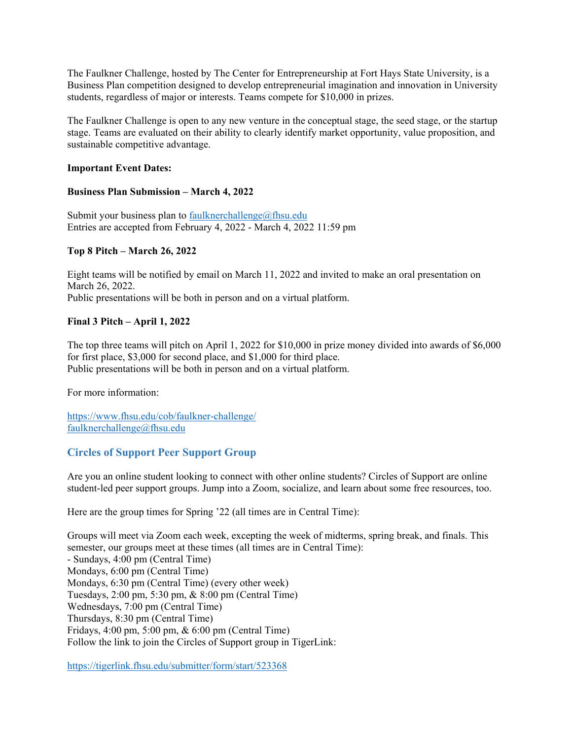The Faulkner Challenge, hosted by The Center for Entrepreneurship at Fort Hays State University, is a Business Plan competition designed to develop entrepreneurial imagination and innovation in University students, regardless of major or interests. Teams compete for \$10,000 in prizes.

The Faulkner Challenge is open to any new venture in the conceptual stage, the seed stage, or the startup stage. Teams are evaluated on their ability to clearly identify market opportunity, value proposition, and sustainable competitive advantage.

#### **Important Event Dates:**

#### **Business Plan Submission – March 4, 2022**

Submit your business plan to [faulknerchallenge@fhsu.edu](mailto:faulknerchallenge@fhsu.edu) Entries are accepted from February 4, 2022 - March 4, 2022 11:59 pm

#### **Top 8 Pitch – March 26, 2022**

Eight teams will be notified by email on March 11, 2022 and invited to make an oral presentation on March 26, 2022. Public presentations will be both in person and on a virtual platform.

### **Final 3 Pitch – April 1, 2022**

The top three teams will pitch on April 1, 2022 for \$10,000 in prize money divided into awards of \$6,000 for first place, \$3,000 for second place, and \$1,000 for third place. Public presentations will be both in person and on a virtual platform.

For more information:

<https://www.fhsu.edu/cob/faulkner-challenge/> [faulknerchallenge@fhsu.edu](mailto:faulknerchallenge@fhsu.edu)

# <span id="page-23-0"></span>**Circles of Support Peer Support Group**

Are you an online student looking to connect with other online students? Circles of Support are online student-led peer support groups. Jump into a Zoom, socialize, and learn about some free resources, too.

Here are the group times for Spring '22 (all times are in Central Time):

Groups will meet via Zoom each week, excepting the week of midterms, spring break, and finals. This semester, our groups meet at these times (all times are in Central Time): - Sundays, 4:00 pm (Central Time) Mondays, 6:00 pm (Central Time) Mondays, 6:30 pm (Central Time) (every other week) Tuesdays, 2:00 pm, 5:30 pm, & 8:00 pm (Central Time) Wednesdays, 7:00 pm (Central Time) Thursdays, 8:30 pm (Central Time) Fridays, 4:00 pm, 5:00 pm, & 6:00 pm (Central Time) Follow the link to join the Circles of Support group in TigerLink:

<https://tigerlink.fhsu.edu/submitter/form/start/523368>